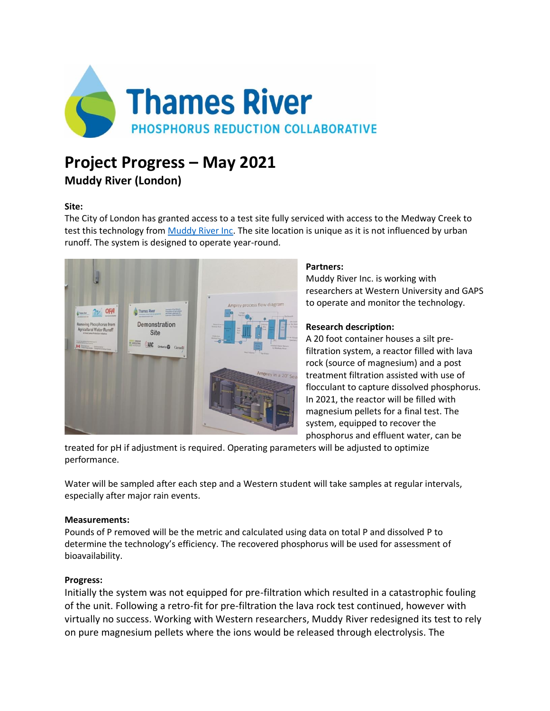

# **Project Progress – May 2021**

**Muddy River (London)**

### **Site:**

The City of London has granted access to a test site fully serviced with access to the Medway Creek to test this technology from [Muddy River Inc.](https://muddyriver.ca/) The site location is unique as it is not influenced by urban runoff. The system is designed to operate year-round.



#### **Partners:**

Muddy River Inc. is working with researchers at Western University and GAPS to operate and monitor the technology.

## **Research description:**

A 20 foot container houses a silt prefiltration system, a reactor filled with lava rock (source of magnesium) and a post treatment filtration assisted with use of flocculant to capture dissolved phosphorus. In 2021, the reactor will be filled with magnesium pellets for a final test. The system, equipped to recover the phosphorus and effluent water, can be

treated for pH if adjustment is required. Operating parameters will be adjusted to optimize performance.

Water will be sampled after each step and a Western student will take samples at regular intervals, especially after major rain events.

#### **Measurements:**

Pounds of P removed will be the metric and calculated using data on total P and dissolved P to determine the technology's efficiency. The recovered phosphorus will be used for assessment of bioavailability.

## **Progress:**

Initially the system was not equipped for pre-filtration which resulted in a catastrophic fouling of the unit. Following a retro-fit for pre-filtration the lava rock test continued, however with virtually no success. Working with Western researchers, Muddy River redesigned its test to rely on pure magnesium pellets where the ions would be released through electrolysis. The